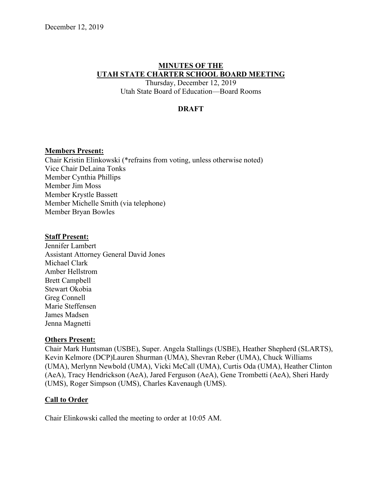## **MINUTES OF THE UTAH STATE CHARTER SCHOOL BOARD MEETING**

Thursday, December 12, 2019 Utah State Board of Education––Board Rooms

#### **DRAFT**

#### **Members Present:**

Chair Kristin Elinkowski (\*refrains from voting, unless otherwise noted) Vice Chair DeLaina Tonks Member Cynthia Phillips Member Jim Moss Member Krystle Bassett Member Michelle Smith (via telephone) Member Bryan Bowles

#### **Staff Present:**

Jennifer Lambert Assistant Attorney General David Jones Michael Clark Amber Hellstrom Brett Campbell Stewart Okobia Greg Connell Marie Steffensen James Madsen Jenna Magnetti

#### **Others Present:**

Chair Mark Huntsman (USBE), Super. Angela Stallings (USBE), Heather Shepherd (SLARTS), Kevin Kelmore (DCP)Lauren Shurman (UMA), Shevran Reber (UMA), Chuck Williams (UMA), Merlynn Newbold (UMA), Vicki McCall (UMA), Curtis Oda (UMA), Heather Clinton (AeA), Tracy Hendrickson (AeA), Jared Ferguson (AeA), Gene Trombetti (AeA), Sheri Hardy (UMS), Roger Simpson (UMS), Charles Kavenaugh (UMS).

#### **Call to Order**

Chair Elinkowski called the meeting to order at 10:05 AM.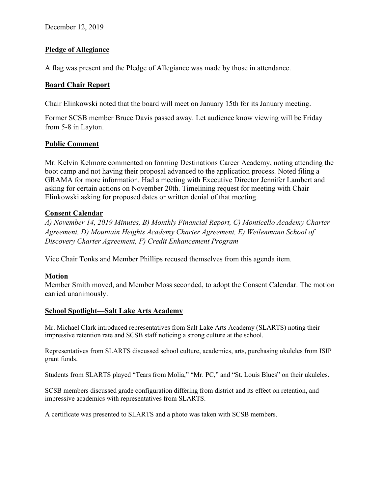## **Pledge of Allegiance**

A flag was present and the Pledge of Allegiance was made by those in attendance.

## **Board Chair Report**

Chair Elinkowski noted that the board will meet on January 15th for its January meeting.

Former SCSB member Bruce Davis passed away. Let audience know viewing will be Friday from 5-8 in Layton.

## **Public Comment**

Mr. Kelvin Kelmore commented on forming Destinations Career Academy, noting attending the boot camp and not having their proposal advanced to the application process. Noted filing a GRAMA for more information. Had a meeting with Executive Director Jennifer Lambert and asking for certain actions on November 20th. Timelining request for meeting with Chair Elinkowski asking for proposed dates or written denial of that meeting.

## **Consent Calendar**

*A) November 14, 2019 Minutes, B) Monthly Financial Report, C) Monticello Academy Charter Agreement, D) Mountain Heights Academy Charter Agreement, E) Weilenmann School of Discovery Charter Agreement, F) Credit Enhancement Program* 

Vice Chair Tonks and Member Phillips recused themselves from this agenda item.

## **Motion**

Member Smith moved, and Member Moss seconded, to adopt the Consent Calendar. The motion carried unanimously.

## **School Spotlight––Salt Lake Arts Academy**

Mr. Michael Clark introduced representatives from Salt Lake Arts Academy (SLARTS) noting their impressive retention rate and SCSB staff noticing a strong culture at the school.

Representatives from SLARTS discussed school culture, academics, arts, purchasing ukuleles from ISIP grant funds.

Students from SLARTS played "Tears from Molia," "Mr. PC," and "St. Louis Blues" on their ukuleles.

SCSB members discussed grade configuration differing from district and its effect on retention, and impressive academics with representatives from SLARTS.

A certificate was presented to SLARTS and a photo was taken with SCSB members.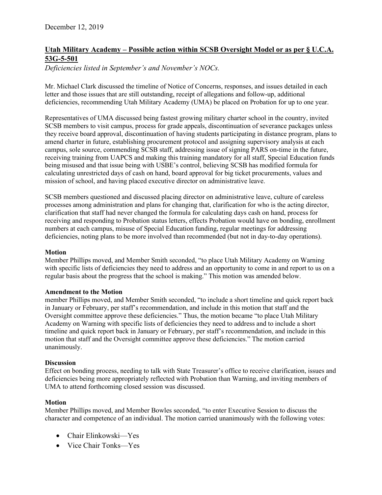## **Utah Military Academy – Possible action within SCSB Oversight Model or as per § U.C.A. 53G-5-501**

*Deficiencies listed in September's and November's NOCs.* 

Mr. Michael Clark discussed the timeline of Notice of Concerns, responses, and issues detailed in each letter and those issues that are still outstanding, receipt of allegations and follow-up, additional deficiencies, recommending Utah Military Academy (UMA) be placed on Probation for up to one year.

Representatives of UMA discussed being fastest growing military charter school in the country, invited SCSB members to visit campus, process for grade appeals, discontinuation of severance packages unless they receive board approval, discontinuation of having students participating in distance program, plans to amend charter in future, establishing procurement protocol and assigning supervisory analysis at each campus, sole source, commending SCSB staff, addressing issue of signing PARS on-time in the future, receiving training from UAPCS and making this training mandatory for all staff, Special Education funds being misused and that issue being with USBE's control, believing SCSB has modified formula for calculating unrestricted days of cash on hand, board approval for big ticket procurements, values and mission of school, and having placed executive director on administrative leave.

SCSB members questioned and discussed placing director on administrative leave, culture of careless processes among administration and plans for changing that, clarification for who is the acting director, clarification that staff had never changed the formula for calculating days cash on hand, process for receiving and responding to Probation status letters, effects Probation would have on bonding, enrollment numbers at each campus, misuse of Special Education funding, regular meetings for addressing deficiencies, noting plans to be more involved than recommended (but not in day-to-day operations).

#### **Motion**

Member Phillips moved, and Member Smith seconded, "to place Utah Military Academy on Warning with specific lists of deficiencies they need to address and an opportunity to come in and report to us on a regular basis about the progress that the school is making." This motion was amended below.

#### **Amendment to the Motion**

member Phillips moved, and Member Smith seconded, "to include a short timeline and quick report back in January or February, per staff's recommendation, and include in this motion that staff and the Oversight committee approve these deficiencies." Thus, the motion became "to place Utah Military Academy on Warning with specific lists of deficiencies they need to address and to include a short timeline and quick report back in January or February, per staff's recommendation, and include in this motion that staff and the Oversight committee approve these deficiencies." The motion carried unanimously.

#### **Discussion**

Effect on bonding process, needing to talk with State Treasurer's office to receive clarification, issues and deficiencies being more appropriately reflected with Probation than Warning, and inviting members of UMA to attend forthcoming closed session was discussed.

#### **Motion**

Member Phillips moved, and Member Bowles seconded, "to enter Executive Session to discuss the character and competence of an individual. The motion carried unanimously with the following votes:

- Chair Elinkowski—Yes
- Vice Chair Tonks—Yes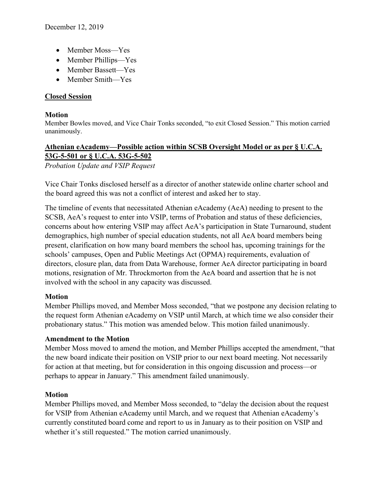- Member Moss-Yes
- Member Phillips—Yes
- Member Bassett—Yes
- Member Smith–Yes

## **Closed Session**

#### **Motion**

Member Bowles moved, and Vice Chair Tonks seconded, "to exit Closed Session." This motion carried unanimously.

# **Athenian eAcademy––Possible action within SCSB Oversight Model or as per § U.C.A. 53G-5-501 or § U.C.A. 53G-5-502**

*Probation Update and VSIP Request*

Vice Chair Tonks disclosed herself as a director of another statewide online charter school and the board agreed this was not a conflict of interest and asked her to stay.

The timeline of events that necessitated Athenian eAcademy (AeA) needing to present to the SCSB, AeA's request to enter into VSIP, terms of Probation and status of these deficiencies, concerns about how entering VSIP may affect AeA's participation in State Turnaround, student demographics, high number of special education students, not all AeA board members being present, clarification on how many board members the school has, upcoming trainings for the schools' campuses, Open and Public Meetings Act (OPMA) requirements, evaluation of directors, closure plan, data from Data Warehouse, former AeA director participating in board motions, resignation of Mr. Throckmorton from the AeA board and assertion that he is not involved with the school in any capacity was discussed.

## **Motion**

Member Phillips moved, and Member Moss seconded, "that we postpone any decision relating to the request form Athenian eAcademy on VSIP until March, at which time we also consider their probationary status." This motion was amended below. This motion failed unanimously.

## **Amendment to the Motion**

Member Moss moved to amend the motion, and Member Phillips accepted the amendment, "that the new board indicate their position on VSIP prior to our next board meeting. Not necessarily for action at that meeting, but for consideration in this ongoing discussion and process––or perhaps to appear in January." This amendment failed unanimously.

## **Motion**

Member Phillips moved, and Member Moss seconded, to "delay the decision about the request for VSIP from Athenian eAcademy until March, and we request that Athenian eAcademy's currently constituted board come and report to us in January as to their position on VSIP and whether it's still requested." The motion carried unanimously.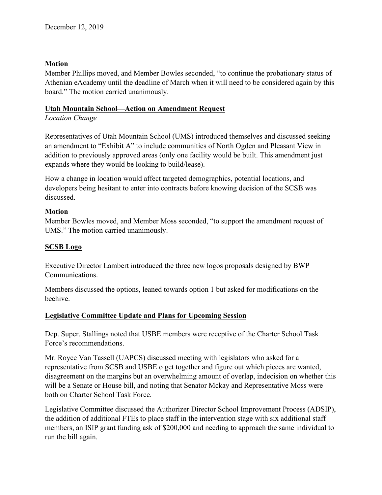#### **Motion**

Member Phillips moved, and Member Bowles seconded, "to continue the probationary status of Athenian eAcademy until the deadline of March when it will need to be considered again by this board." The motion carried unanimously.

#### **Utah Mountain School––Action on Amendment Request**

#### *Location Change*

Representatives of Utah Mountain School (UMS) introduced themselves and discussed seeking an amendment to "Exhibit A" to include communities of North Ogden and Pleasant View in addition to previously approved areas (only one facility would be built. This amendment just expands where they would be looking to build/lease).

How a change in location would affect targeted demographics, potential locations, and developers being hesitant to enter into contracts before knowing decision of the SCSB was discussed.

## **Motion**

Member Bowles moved, and Member Moss seconded, "to support the amendment request of UMS." The motion carried unanimously.

#### **SCSB Logo**

Executive Director Lambert introduced the three new logos proposals designed by BWP Communications.

Members discussed the options, leaned towards option 1 but asked for modifications on the beehive.

## **Legislative Committee Update and Plans for Upcoming Session**

Dep. Super. Stallings noted that USBE members were receptive of the Charter School Task Force's recommendations.

Mr. Royce Van Tassell (UAPCS) discussed meeting with legislators who asked for a representative from SCSB and USBE o get together and figure out which pieces are wanted, disagreement on the margins but an overwhelming amount of overlap, indecision on whether this will be a Senate or House bill, and noting that Senator Mckay and Representative Moss were both on Charter School Task Force.

Legislative Committee discussed the Authorizer Director School Improvement Process (ADSIP), the addition of additional FTEs to place staff in the intervention stage with six additional staff members, an ISIP grant funding ask of \$200,000 and needing to approach the same individual to run the bill again.